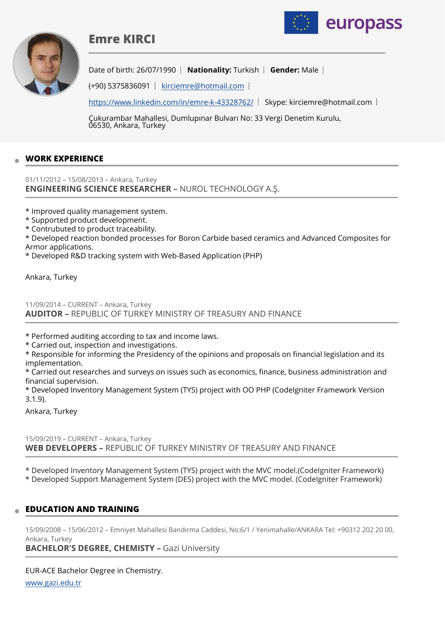





Date of birth: 26/07/1990 **Nationality:** Turkish | Gender: Male |

(+90) 5375836091 [kirciemre@hotmail.com](mailto:kirciemre@hotmail.com)

<https://www.linkedin.com/in/emre-k-43328762/>| Skype: kirciemre@hotmail.com |

Çukurambar Mahallesi, Dumlupınar Bulvarı No: 33 Vergi Denetim Kurulu, 06530, Ankara, Turkey

## **WORK EXPERIENCE**

01/11/2012 – 15/08/2013 – Ankara, Turkey **ENGINEERING SCIENCE RESEARCHER –** NUROL TECHNOLOGY A.Ş.

\* Improved quality management system.

\* Supported product development.

\* Contrubuted to product traceability.

\* Developed reaction bonded processes for Boron Carbide based ceramics and Advanced Composites for Armor applications.

\* Developed R&D tracking system with Web-Based Application (PHP)

Ankara, Turkey

11/09/2014 – CURRENT – Ankara, Turkey **AUDITOR –** REPUBLIC OF TURKEY MINISTRY OF TREASURY AND FINANCE

\* Performed auditing according to tax and income laws.

\* Carried out, inspection and investigations.

\* Responsible for informing the Presidency of the opinions and proposals on financial legislation and its implementation.

\* Carried out researches and surveys on issues such as economics, finance, business administration and financial supervision.

\* Developed Inventory Management System (TYS) project with OO PHP (CodeIgniter Framework Version 3.1.9).

Ankara, Turkey

15/09/2019 – CURRENT – Ankara, Turkey **WEB DEVELOPERS –** REPUBLIC OF TURKEY MINISTRY OF TREASURY AND FINANCE

\* Developed Inventory Management System (TYS) project with the MVC model.(CodeIgniter Framework) \* Developed Support Management System (DES) project with the MVC model. (CodeIgniter Framework)

## **EDUCATION AND TRAINING**

15/09/2008 – 15/06/2012 – Emniyet Mahallesi Bandırma Caddesi, No:6/1 / Yenimahalle/ANKARA Tel: +90312 202 20 00, Ankara, Turkey

**BACHELOR'S DEGREE, CHEMISTY - Gazi University** 

EUR-ACE Bachelor Degree in Chemistry.

[www.gazi.edu.tr](http://www.gazi.edu.tr)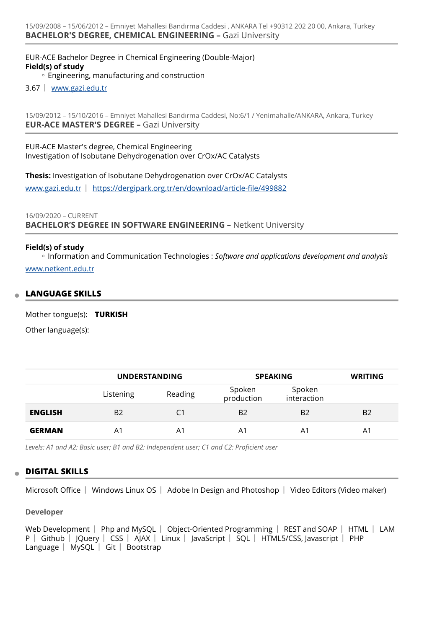EUR-ACE Bachelor Degree in Chemical Engineering (Double-Major) **Field(s) of study**

◦ Engineering, manufacturing and construction

3.67 [www.gazi.edu.tr](http://www.gazi.edu.tr) 

15/09/2012 – 15/10/2016 – Emniyet Mahallesi Bandırma Caddesi, No:6/1 / Yenimahalle/ANKARA, Ankara, Turkey **EUR-ACE MASTER'S DEGREE –** Gazi University

EUR-ACE Master's degree, Chemical Engineering Investigation of Isobutane Dehydrogenation over CrOx/AC Catalysts

**Thesis:** Investigation of Isobutane Dehydrogenation over CrOx/AC Catalysts [www.gazi.edu.tr](http://www.gazi.edu.tr) | [https://dergipark.org.tr/en/download/article-](https://dergipark.org.tr/en/download/article-file/499882)file/499882

#### 16/09/2020 – CURRENT **BACHELOR'S DEGREE IN SOFTWARE ENGINEERING –** Netkent University

#### **Field(s) of study**

Information and Communication Technologies : *Software and applications development and analysis* ◦ [www.netkent.edu.tr](http://www.netkent.edu.tr)

#### **LANGUAGE SKILLS**

Mother tongue(s): **TURKISH**

Other language(s):

|                | <b>UNDERSTANDING</b> |         | <b>SPEAKING</b>      |                       | <b>WRITING</b> |
|----------------|----------------------|---------|----------------------|-----------------------|----------------|
|                | Listening            | Reading | Spoken<br>production | Spoken<br>interaction |                |
| <b>ENGLISH</b> | B <sub>2</sub>       | C1      | B <sub>2</sub>       | B <sub>2</sub>        | B <sub>2</sub> |
| <b>GERMAN</b>  | A <sub>1</sub>       | A1      | A1                   | A1                    | A1             |

*Levels: A1 and A2: Basic user; B1 and B2: Independent user; C1 and C2: Proficient user*

## **DIGITAL SKILLS**

Microsoft Office | Windows Linux OS | Adobe In Design and Photoshop | Video Editors (Video maker)

#### **Developer**

Web Development  $\parallel$  Php and MySQL  $\parallel$  Object-Oriented Programming  $\parallel$  REST and SOAP  $\parallel$  HTML  $\parallel$  LAM P | Github | JQuery | CSS | AJAX | Linux | JavaScript | SQL | HTML5/CSS, Javascript | PHP Language  $\vert$  MySQL  $\vert$  Git  $\vert$  Bootstrap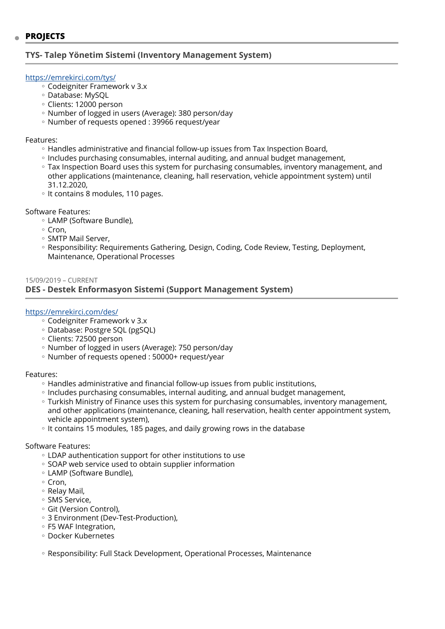## **TYS- Talep Yönetim Sistemi (Inventory Management System)**

#### <https://emrekirci.com/tys/>

- Codeigniter Framework v 3.x ◦
- Database: MySQL ◦
- Clients: 12000 person ◦
- Number of logged in users (Average): 380 person/day ◦
- Number of requests opened : 39966 request/year

#### Features:

- Handles administrative and financial follow-up issues from Tax Inspection Board,
- Includes purchasing consumables, internal auditing, and annual budget management, ◦
- Tax Inspection Board uses this system for purchasing consumables, inventory management, and other applications (maintenance, cleaning, hall reservation, vehicle appointment system) until 31.12.2020,
- It contains 8 modules, 110 pages.

Software Features:

- LAMP (Software Bundle), ◦
- Cron, ◦
- SMTP Mail Server,
- Responsibility: Requirements Gathering, Design, Coding, Code Review, Testing, Deployment, Maintenance, Operational Processes

#### 15/09/2019 – CURRENT **DES - Destek Enformasyon Sistemi (Support Management System)**

#### <https://emrekirci.com/des/>

- Codeigniter Framework v 3.x ◦
- Database: Postgre SQL (pgSQL) ◦
- Clients: 72500 person ◦
- Number of logged in users (Average): 750 person/day ◦
- Number of requests opened : 50000+ request/year

#### Features:

- Handles administrative and financial follow-up issues from public institutions,
- Includes purchasing consumables, internal auditing, and annual budget management, ◦
- Turkish Ministry of Finance uses this system for purchasing consumables, inventory management, and other applications (maintenance, cleaning, hall reservation, health center appointment system, vehicle appointment system),
- It contains 15 modules, 185 pages, and daily growing rows in the database

#### Software Features:

- LDAP authentication support for other institutions to use ◦
- SOAP web service used to obtain supplier information
- LAMP (Software Bundle), ◦
- Cron, ◦
- Relay Mail, ◦
- SMS Service, ◦
- Git (Version Control),
- 3 Environment (Dev-Test-Production), ◦
- F5 WAF Integration, ◦
- Docker Kubernetes ◦

◦ Responsibility: Full Stack Development, Operational Processes, Maintenance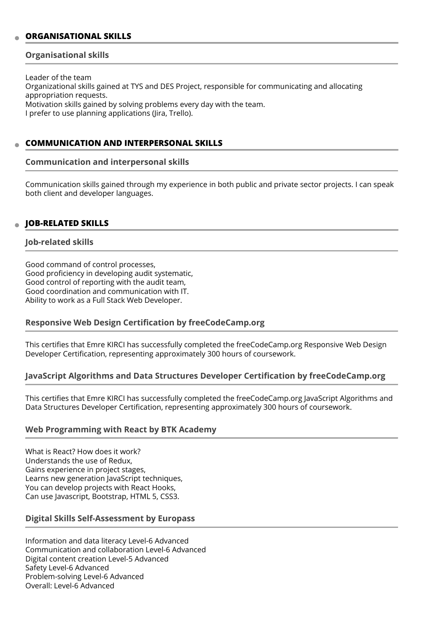## **ORGANISATIONAL SKILLS**

#### **Organisational skills**

Leader of the team Organizational skills gained at TYS and DES Project, responsible for communicating and allocating appropriation requests. Motivation skills gained by solving problems every day with the team. I prefer to use planning applications (Jira, Trello).

## **COMMUNICATION AND INTERPERSONAL SKILLS**

#### **Communication and interpersonal skills**

Communication skills gained through my experience in both public and private sector projects. I can speak both client and developer languages.

## **JOB-RELATED SKILLS**

#### **Job-related skills**

Good command of control processes, Good proficiency in developing audit systematic, Good control of reporting with the audit team, Good coordination and communication with IT. Ability to work as a Full Stack Web Developer.

## **Responsive Web Design Certification by freeCodeCamp.org**

This certifies that Emre KIRCI has successfully completed the freeCodeCamp.org Responsive Web Design Developer Certification, representing approximately 300 hours of coursework.

## **JavaScript Algorithms and Data Structures Developer Certification by freeCodeCamp.org**

This certifies that Emre KIRCI has successfully completed the freeCodeCamp.org JavaScript Algorithms and Data Structures Developer Certification, representing approximately 300 hours of coursework.

## **Web Programming with React by BTK Academy**

What is React? How does it work? Understands the use of Redux, Gains experience in project stages, Learns new generation JavaScript techniques, You can develop projects with React Hooks, Can use Javascript, Bootstrap, HTML 5, CSS3.

## **Digital Skills Self-Assessment by Europass**

Information and data literacy Level-6 Advanced Communication and collaboration Level-6 Advanced Digital content creation Level-5 Advanced Safety Level-6 Advanced Problem-solving Level-6 Advanced Overall: Level-6 Advanced